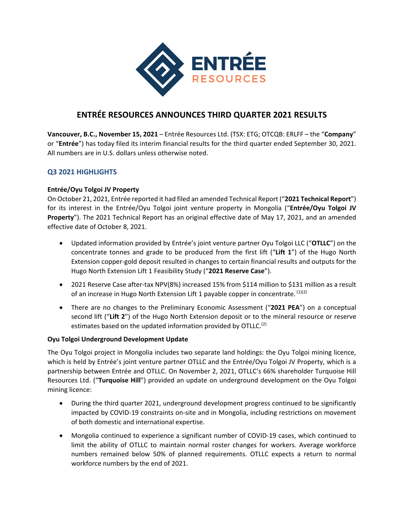

# **ENTRÉE RESOURCES ANNOUNCES THIRD QUARTER 2021 RESULTS**

**Vancouver, B.C., November 15, 2021** – Entrée Resources Ltd. (TSX: ETG; OTCQB: ERLFF – the "**Company**" or "**Entrée**") has today filed its interim financial results for the third quarter ended September 30, 2021. All numbers are in U.S. dollars unless otherwise noted.

## **Q3 2021 HIGHLIGHTS**

### **Entrée/Oyu Tolgoi JV Property**

On October 21, 2021, Entrée reported it had filed an amended Technical Report ("**2021 Technical Report**") for its interest in the Entrée/Oyu Tolgoi joint venture property in Mongolia ("**Entrée/Oyu Tolgoi JV Property**"). The 2021 Technical Report has an original effective date of May 17, 2021, and an amended effective date of October 8, 2021.

- Updated information provided by Entrée's joint venture partner Oyu Tolgoi LLC ("**OTLLC**") on the concentrate tonnes and grade to be produced from the first lift ("**Lift 1**") of the Hugo North Extension copper‐gold deposit resulted in changes to certain financial results and outputs for the Hugo North Extension Lift 1 Feasibility Study ("**2021 Reserve Case**").
- 2021 Reserve Case after-tax NPV(8%) increased 15% from \$114 million to \$131 million as a result of an increase in Hugo North Extension Lift 1 payable copper in concentrate. (1)(2)
- There are no changes to the Preliminary Economic Assessment ("2021 PEA") on a conceptual second lift ("**Lift 2**") of the Hugo North Extension deposit or to the mineral resource or reserve estimates based on the updated information provided by OTLLC.<sup>(2)</sup>

### **Oyu Tolgoi Underground Development Update**

The Oyu Tolgoi project in Mongolia includes two separate land holdings: the Oyu Tolgoi mining licence, which is held by Entrée's joint venture partner OTLLC and the Entrée/Oyu Tolgoi JV Property, which is a partnership between Entrée and OTLLC. On November 2, 2021, OTLLC's 66% shareholder Turquoise Hill Resources Ltd. ("**Turquoise Hill**") provided an update on underground development on the Oyu Tolgoi mining licence:

- During the third quarter 2021, underground development progress continued to be significantly impacted by COVID‐19 constraints on‐site and in Mongolia, including restrictions on movement of both domestic and international expertise.
- Mongolia continued to experience a significant number of COVID‐19 cases, which continued to limit the ability of OTLLC to maintain normal roster changes for workers. Average workforce numbers remained below 50% of planned requirements. OTLLC expects a return to normal workforce numbers by the end of 2021.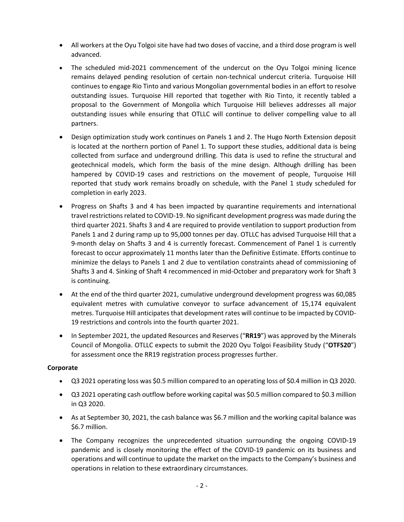- All workers at the Oyu Tolgoi site have had two doses of vaccine, and a third dose program is well advanced.
- The scheduled mid-2021 commencement of the undercut on the Oyu Tolgoi mining licence remains delayed pending resolution of certain non-technical undercut criteria. Turquoise Hill continues to engage Rio Tinto and various Mongolian governmental bodies in an effort to resolve outstanding issues. Turquoise Hill reported that together with Rio Tinto, it recently tabled a proposal to the Government of Mongolia which Turquoise Hill believes addresses all major outstanding issues while ensuring that OTLLC will continue to deliver compelling value to all partners.
- Design optimization study work continues on Panels 1 and 2. The Hugo North Extension deposit is located at the northern portion of Panel 1. To support these studies, additional data is being collected from surface and underground drilling. This data is used to refine the structural and geotechnical models, which form the basis of the mine design. Although drilling has been hampered by COVID-19 cases and restrictions on the movement of people, Turquoise Hill reported that study work remains broadly on schedule, with the Panel 1 study scheduled for completion in early 2023.
- Progress on Shafts 3 and 4 has been impacted by quarantine requirements and international travel restrictions related to COVID‐19. No significant development progress was made during the third quarter 2021. Shafts 3 and 4 are required to provide ventilation to support production from Panels 1 and 2 during ramp up to 95,000 tonnes per day. OTLLC has advised Turquoise Hill that a 9-month delay on Shafts 3 and 4 is currently forecast. Commencement of Panel 1 is currently forecast to occur approximately 11 months later than the Definitive Estimate. Efforts continue to minimize the delays to Panels 1 and 2 due to ventilation constraints ahead of commissioning of Shafts 3 and 4. Sinking of Shaft 4 recommenced in mid‐October and preparatory work for Shaft 3 is continuing.
- At the end of the third quarter 2021, cumulative underground development progress was 60,085 equivalent metres with cumulative conveyor to surface advancement of 15,174 equivalent metres. Turquoise Hill anticipates that development rates will continue to be impacted by COVID‐ 19 restrictions and controls into the fourth quarter 2021.
- In September 2021, the updated Resources and Reserves ("**RR19**") was approved by the Minerals Council of Mongolia. OTLLC expects to submit the 2020 Oyu Tolgoi Feasibility Study ("**OTFS20**") for assessment once the RR19 registration process progresses further.

### **Corporate**

- Q3 2021 operating loss was \$0.5 million compared to an operating loss of \$0.4 million in Q3 2020.
- Q3 2021 operating cash outflow before working capital was \$0.5 million compared to \$0.3 million in Q3 2020.
- As at September 30, 2021, the cash balance was \$6.7 million and the working capital balance was \$6.7 million.
- The Company recognizes the unprecedented situation surrounding the ongoing COVID-19 pandemic and is closely monitoring the effect of the COVID-19 pandemic on its business and operations and will continue to update the market on the impacts to the Company's business and operations in relation to these extraordinary circumstances.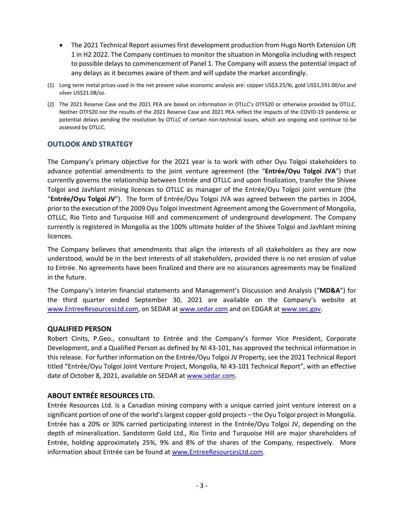- The 2021 Technical Report assumes first development production from Hugo North Extension Lift 1 in H2 2022. The Company continues to monitor the situation in Mongolia including with respect to possible delays to commencement of Panel 1. The Company will assess the potential impact of any delays as it becomes aware of them and will update the market accordingly.
- (1) Long term metal prices used in the net present value economic analysis are: copper US\$3.25/lb, gold US\$1,591.00/oz and silver US\$21.08/oz.
- (2) The 2021 Reserve Case and the 2021 PEA are based on information in OTLLC's OTFS20 or otherwise provided by OTLLC. Neither OTFS20 nor the results of the 2021 Reserve Case and 2021 PEA reflect the impacts of the COVID‐19 pandemic or potential delays pending the resolution by OTLLC of certain non-technical issues, which are ongoing and continue to be assessed by OTLLC.

### **OUTLOOK AND STRATEGY**

The Company's primary objective for the 2021 year is to work with other Oyu Tolgoi stakeholders to advance potential amendments to the joint venture agreement (the "**Entrée/Oyu Tolgoi JVA**") that currently governs the relationship between Entrée and OTLLC and upon finalization, transfer the Shivee Tolgoi and Javhlant mining licences to OTLLC as manager of the Entrée/Oyu Tolgoi joint venture (the "**Entrée/Oyu Tolgoi JV**"). The form of Entrée/Oyu Tolgoi JVA was agreed between the parties in 2004, prior to the execution of the 2009 Oyu Tolgoi Investment Agreement among the Government of Mongolia, OTLLC, Rio Tinto and Turquoise Hill and commencement of underground development. The Company currently is registered in Mongolia as the 100% ultimate holder of the Shivee Tolgoi and Javhlant mining licences.

The Company believes that amendments that align the interests of all stakeholders as they are now understood, would be in the best interests of all stakeholders, provided there is no net erosion of value to Entrée. No agreements have been finalized and there are no assurances agreements may be finalized in the future.

The Company's interim financial statements and Management's Discussion and Analysis ("**MD&A**") for the third quarter ended September 30, 2021 are available on the Company's website at www.EntreeResourcesLtd.com, on SEDAR at www.sedar.com and on EDGAR at www.sec.gov.

### **QUALIFIED PERSON**

Robert Cinits, P.Geo., consultant to Entrée and the Company's former Vice President, Corporate Development, and a Qualified Person as defined by NI 43‐101, has approved the technical information in this release.For further information on the Entrée/Oyu Tolgoi JV Property, see the 2021 Technical Report titled "Entrée/Oyu Tolgoi Joint Venture Project, Mongolia, NI 43‐101 Technical Report", with an effective date of October 8, 2021, available on SEDAR at www.sedar.com.

### **ABOUT ENTRÉE RESOURCES LTD.**

Entrée Resources Ltd. is a Canadian mining company with a unique carried joint venture interest on a significant portion of one of the world's largest copper-gold projects – the Oyu Tolgoi project in Mongolia. Entrée has a 20% or 30% carried participating interest in the Entrée/Oyu Tolgoi JV, depending on the depth of mineralization. Sandstorm Gold Ltd., Rio Tinto and Turquoise Hill are major shareholders of Entrée, holding approximately 25%, 9% and 8% of the shares of the Company, respectively. More information about Entrée can be found at www.EntreeResourcesLtd.com.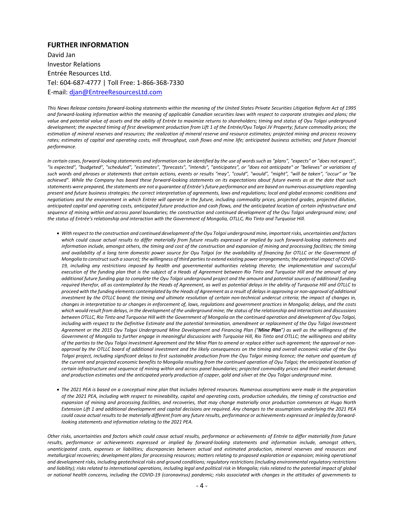#### **FURTHER INFORMATION**

David Jan Investor Relations Entrée Resources Ltd. Tel: 604‐687‐4777 | Toll Free: 1‐866‐368‐7330 E‐mail: djan@EntreeResourcesLtd.com

*This News Release contains forward‐looking statements within the meaning of the United States Private Securities Litigation Reform Act of 1995 and forward‐looking information within the meaning of applicable Canadian securities laws with respect to corporate strategies and plans; the value and potential value of assets and the ability of Entrée to maximize returns to shareholders; timing and status of Oyu Tolgoi underground development; the expected timing of first development production from Lift 1 of the Entrée/Oyu Tolgoi JV Property; future commodity prices; the estimation of mineral reserves and resources; the realization of mineral reserve and resource estimates; projected mining and process recovery rates; estimates of capital and operating costs, mill throughput, cash flows and mine life; anticipated business activities; and future financial performance.* 

*In certain cases, forward‐looking statements and information can be identified by the use of words such as "plans", "expects" or "does not expect", "is expected", "budgeted", "scheduled", "estimates", "forecasts", "intends", "anticipates", or "does not anticipate" or "believes" or variations of such words and phrases or statements that certain actions, events or results "may", "could", "would", "might", "will be taken", "occur" or "be achieved". While the Company has based these forward‐looking statements on its expectations about future events as at the date that such statements were prepared, the statements are not a guarantee of Entrée's future performance and are based on numerous assumptions regarding present and future business strategies; the correct interpretation of agreements, laws and regulations; local and global economic conditions and negotiations and the environment in which Entrée will operate in the future, including commodity prices, projected grades, projected dilution, anticipated capital and operating costs, anticipated future production and cash flows, and the anticipated location of certain infrastructure and sequence of mining within and across panel boundaries; the construction and continued development of the Oyu Tolgoi underground mine; and the status of Entrée's relationship and interaction with the Government of Mongolia, OTLLC, Rio Tinto and Turquoise Hill.* 

- *With respect to the construction and continued development of the Oyu Tolgoi underground mine, important risks, uncertainties and factors which could cause actual results to differ materially from future results expressed or implied by such forward‐looking statements and information include, amongst others, the timing and cost of the construction and expansion of mining and processing facilities; the timing and availability of a long term domestic power source for Oyu Tolgoi (or the availability of financing for OTLLC or the Government of Mongolia to construct such a source); the willingness of third parties to extend existing power arrangements; the potential impact of COVID‐ 19, including any restrictions imposed by health and governmental authorities relating thereto; the implementation and successful execution of the funding plan that is the subject of a Heads of Agreement between Rio Tinto and Turquoise Hill and the amount of any additional future funding gap to complete the Oyu Tolgoi underground project and the amount and potential sources of additional funding required therefor, all as contemplated by the Heads of Agreement, as well as potential delays in the ability of Turquoise Hill and OTLLC to proceed with the funding elements contemplated by the Heads of Agreement as a result of delays in approving or non‐approval of additional investment by the OTLLC board; the timing and ultimate resolution of certain non‐technical undercut criteria; the impact of changes in, changes in interpretation to or changes in enforcement of, laws, regulations and government practices in Mongolia; delays, and the costs which would result from delays, in the development of the underground mine; the status of the relationship and interactions and discussions between OTLLC, Rio Tinto and Turquoise Hill with the Government of Mongolia on the continued operation and development of Oyu Tolgoi,*  including with respect to the Definitive Estimate and the potential termination, amendment or replacement of the Oyu Tolgoi Investment *Agreement or the 2015 Oyu Tolgoi Underground Mine Development and Financing Plan ("Mine Plan") as well as the willingness of the Government of Mongolia to further engage in meaningful discussions with Turquoise Hill, Rio Tinto and OTLLC; the willingness and ability of the parties to the Oyu Tolgoi Investment Agreement and the Mine Plan to amend or replace either such agreement; the approval or non‐ approval by the OTLLC board of additional investment and the likely consequences on the timing and overall economic value of the Oyu Tolgoi project, including significant delays to first sustainable production from the Oyu Tolgoi mining licence; the nature and quantum of*  the current and projected economic benefits to Mongolia resulting from the continued operation of Oyu Tolgoi; the anticipated location of *certain infrastructure and sequence of mining within and across panel boundaries; projected commodity prices and their market demand; and production estimates and the anticipated yearly production of copper, gold and silver at the Oyu Tolgoi underground mine.*
- *The 2021 PEA is based on a conceptual mine plan that includes Inferred resources. Numerous assumptions were made in the preparation of the 2021 PEA, including with respect to mineability, capital and operating costs, production schedules, the timing of construction and expansion of mining and processing facilities, and recoveries, that may change materially once production commences at Hugo North Extension Lift 1 and additional development and capital decisions are required. Any changes to the assumptions underlying the 2021 PEA could cause actual results to be materially different from any future results, performance or achievements expressed or implied by forward‐ looking statements and information relating to the 2021 PEA.*

*Other risks, uncertainties and factors which could cause actual results, performance or achievements of Entrée to differ materially from future results, performance or achievements expressed or implied by forward‐looking statements and information include, amongst others, unanticipated costs, expenses or liabilities; discrepancies between actual and estimated production, mineral reserves and resources and metallurgical recoveries; development plans for processing resources; matters relating to proposed exploration or expansion; mining operational and development risks, including geotechnical risks and ground conditions; regulatory restrictions (including environmental regulatory restrictions and liability); risks related to international operations, including legal and political risk in Mongolia; risks related to the potential impact of global or national health concerns, including the COVID‐19 (coronavirus) pandemic; risks associated with changes in the attitudes of governments to*